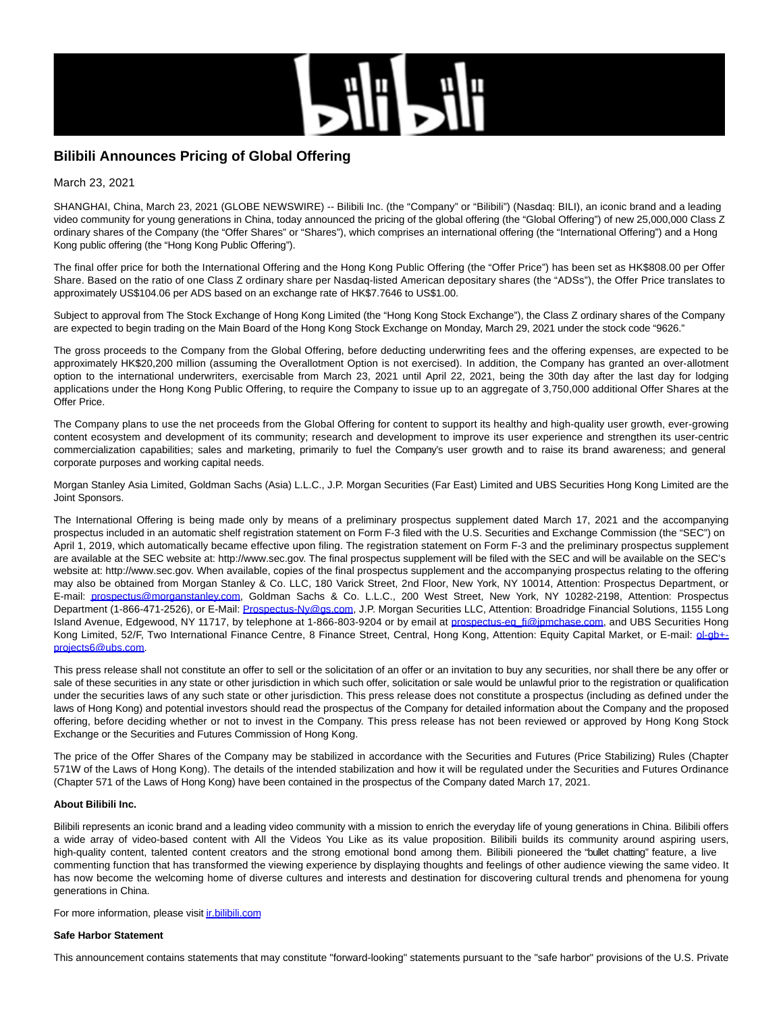

# **Bilibili Announces Pricing of Global Offering**

March 23, 2021

SHANGHAI, China, March 23, 2021 (GLOBE NEWSWIRE) -- Bilibili Inc. (the "Company" or "Bilibili") (Nasdaq: BILI), an iconic brand and a leading video community for young generations in China, today announced the pricing of the global offering (the "Global Offering") of new 25,000,000 Class Z ordinary shares of the Company (the "Offer Shares" or "Shares"), which comprises an international offering (the "International Offering") and a Hong Kong public offering (the "Hong Kong Public Offering").

The final offer price for both the International Offering and the Hong Kong Public Offering (the "Offer Price") has been set as HK\$808.00 per Offer Share. Based on the ratio of one Class Z ordinary share per Nasdaq-listed American depositary shares (the "ADSs"), the Offer Price translates to approximately US\$104.06 per ADS based on an exchange rate of HK\$7.7646 to US\$1.00.

Subject to approval from The Stock Exchange of Hong Kong Limited (the "Hong Kong Stock Exchange"), the Class Z ordinary shares of the Company are expected to begin trading on the Main Board of the Hong Kong Stock Exchange on Monday, March 29, 2021 under the stock code "9626."

The gross proceeds to the Company from the Global Offering, before deducting underwriting fees and the offering expenses, are expected to be approximately HK\$20,200 million (assuming the Overallotment Option is not exercised). In addition, the Company has granted an over-allotment option to the international underwriters, exercisable from March 23, 2021 until April 22, 2021, being the 30th day after the last day for lodging applications under the Hong Kong Public Offering, to require the Company to issue up to an aggregate of 3,750,000 additional Offer Shares at the Offer Price.

The Company plans to use the net proceeds from the Global Offering for content to support its healthy and high-quality user growth, ever-growing content ecosystem and development of its community; research and development to improve its user experience and strengthen its user-centric commercialization capabilities; sales and marketing, primarily to fuel the Company's user growth and to raise its brand awareness; and general corporate purposes and working capital needs.

Morgan Stanley Asia Limited, Goldman Sachs (Asia) L.L.C., J.P. Morgan Securities (Far East) Limited and UBS Securities Hong Kong Limited are the Joint Sponsors.

The International Offering is being made only by means of a preliminary prospectus supplement dated March 17, 2021 and the accompanying prospectus included in an automatic shelf registration statement on Form F-3 filed with the U.S. Securities and Exchange Commission (the "SEC") on April 1, 2019, which automatically became effective upon filing. The registration statement on Form F-3 and the preliminary prospectus supplement are available at the SEC website at: http://www.sec.gov. The final prospectus supplement will be filed with the SEC and will be available on the SEC's website at: http://www.sec.gov. When available, copies of the final prospectus supplement and the accompanying prospectus relating to the offering may also be obtained from Morgan Stanley & Co. LLC, 180 Varick Street, 2nd Floor, New York, NY 10014, Attention: Prospectus Department, or E-mail: [prospectus@morganstanley.com,](https://www.globenewswire.com/Tracker?data=a5ITJ2ox9fBKbGIAhaSxm7PHo2gO3ud1deJvFpgLJJeeMSA4LFvjKU4ZGXjnrpiUyQgCGv9FCVueVD33ceZVK2OSLj0EQG9TUxvDf4VRpuCbqXZdfdSVRGMoKwN3ZC3g) Goldman Sachs & Co. L.L.C., 200 West Street, New York, NY 10282-2198, Attention: Prospectus Department (1-866-471-2526), or E-Mail: [Prospectus-Ny@gs.com,](https://www.globenewswire.com/Tracker?data=WY7OLNuHU7AYYf9jg2DgS62iITTlW-vWeJVb7N2fL7a_Uv0HCX9HLhIr2G9uXtvryGUdEF7umemNM3FilBX-_pKe3rWy9Ma7EM8wJcSdab4=) J.P. Morgan Securities LLC, Attention: Broadridge Financial Solutions, 1155 Long Island Avenue, Edgewood, NY 11717, by telephone at 1-866-803-9204 or by email at [prospectus-eq\\_fi@jpmchase.com,](https://www.globenewswire.com/Tracker?data=a5ITJ2ox9fBKbGIAhaSxm_CES28W4Mq1Wk-87kemsaNaRWTzGFDRjS1XOt8-y1tAzFawhCO4HYPC4rhPevq7wJZyTchZDaD55Jp1BSscSuol1WCwb0WYmDqn0mHzyNbB) and UBS Securities Hong Kong Limited, 52/F, Two International Finance Centre, 8 Finance Street, Central, Hong Kong, Attention: Equity Capital Market, or E-mail: ol-ob+projects6@ubs.com.

This press release shall not constitute an offer to sell or the solicitation of an offer or an invitation to buy any securities, nor shall there be any offer or sale of these securities in any state or other jurisdiction in which such offer, solicitation or sale would be unlawful prior to the registration or qualification under the securities laws of any such state or other jurisdiction. This press release does not constitute a prospectus (including as defined under the laws of Hong Kong) and potential investors should read the prospectus of the Company for detailed information about the Company and the proposed offering, before deciding whether or not to invest in the Company. This press release has not been reviewed or approved by Hong Kong Stock Exchange or the Securities and Futures Commission of Hong Kong.

The price of the Offer Shares of the Company may be stabilized in accordance with the Securities and Futures (Price Stabilizing) Rules (Chapter 571W of the Laws of Hong Kong). The details of the intended stabilization and how it will be regulated under the Securities and Futures Ordinance (Chapter 571 of the Laws of Hong Kong) have been contained in the prospectus of the Company dated March 17, 2021.

## **About Bilibili Inc.**

Bilibili represents an iconic brand and a leading video community with a mission to enrich the everyday life of young generations in China. Bilibili offers a wide array of video-based content with All the Videos You Like as its value proposition. Bilibili builds its community around aspiring users, high-quality content, talented content creators and the strong emotional bond among them. Bilibili pioneered the ''bullet chatting'' feature, a live commenting function that has transformed the viewing experience by displaying thoughts and feelings of other audience viewing the same video. It has now become the welcoming home of diverse cultures and interests and destination for discovering cultural trends and phenomena for young generations in China.

For more information, please visit *ir.bilibili.com* 

#### **Safe Harbor Statement**

This announcement contains statements that may constitute "forward-looking" statements pursuant to the "safe harbor" provisions of the U.S. Private